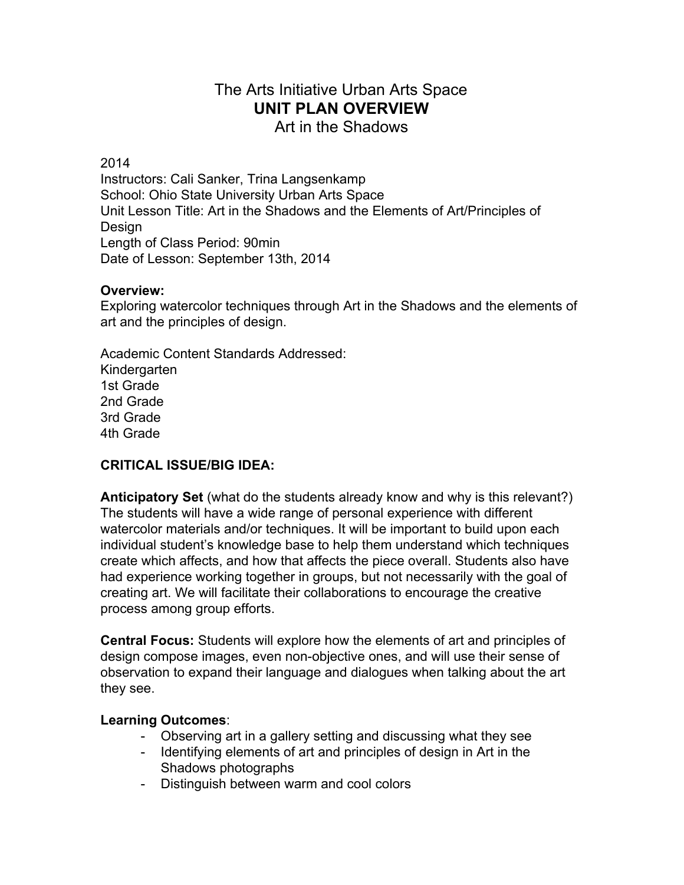# The Arts Initiative Urban Arts Space **UNIT PLAN OVERVIEW**

Art in the Shadows

2014

Instructors: Cali Sanker, Trina Langsenkamp School: Ohio State University Urban Arts Space Unit Lesson Title: Art in the Shadows and the Elements of Art/Principles of **Design** Length of Class Period: 90min Date of Lesson: September 13th, 2014

# **Overview:**

Exploring watercolor techniques through Art in the Shadows and the elements of art and the principles of design.

Academic Content Standards Addressed: **Kindergarten** 1st Grade 2nd Grade 3rd Grade 4th Grade

# **CRITICAL ISSUE/BIG IDEA:**

**Anticipatory Set** (what do the students already know and why is this relevant?) The students will have a wide range of personal experience with different watercolor materials and/or techniques. It will be important to build upon each individual student's knowledge base to help them understand which techniques create which affects, and how that affects the piece overall. Students also have had experience working together in groups, but not necessarily with the goal of creating art. We will facilitate their collaborations to encourage the creative process among group efforts.

**Central Focus:** Students will explore how the elements of art and principles of design compose images, even non-objective ones, and will use their sense of observation to expand their language and dialogues when talking about the art they see.

# **Learning Outcomes**:

- Observing art in a gallery setting and discussing what they see
- Identifying elements of art and principles of design in Art in the Shadows photographs
- Distinguish between warm and cool colors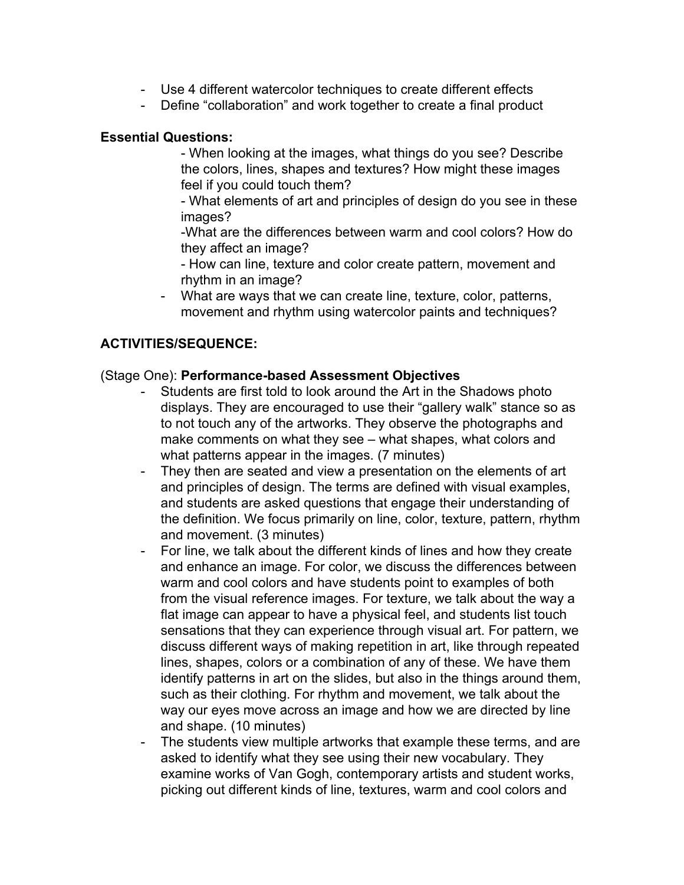- Use 4 different watercolor techniques to create different effects
- Define "collaboration" and work together to create a final product

#### **Essential Questions:**

 When looking at the images, what things do you see? Describe the colors, lines, shapes and textures? How might these images feel if you could touch them?

 What elements of art and principles of design do you see in these images?

What are the differences between warm and cool colors? How do they affect an image?

- How can line, texture and color create pattern, movement and rhythm in an image?

 What are ways that we can create line, texture, color, patterns, movement and rhythm using watercolor paints and techniques?

# **ACTIVITIES/SEQUENCE:**

#### (Stage One): **Performancebased Assessment Objectives**

- Students are first told to look around the Art in the Shadows photo displays. They are encouraged to use their "gallery walk" stance so as to not touch any of the artworks. They observe the photographs and make comments on what they see – what shapes, what colors and what patterns appear in the images. (7 minutes)
- They then are seated and view a presentation on the elements of art and principles of design. The terms are defined with visual examples, and students are asked questions that engage their understanding of the definition. We focus primarily on line, color, texture, pattern, rhythm and movement. (3 minutes)
- For line, we talk about the different kinds of lines and how they create and enhance an image. For color, we discuss the differences between warm and cool colors and have students point to examples of both from the visual reference images. For texture, we talk about the way a flat image can appear to have a physical feel, and students list touch sensations that they can experience through visual art. For pattern, we discuss different ways of making repetition in art, like through repeated lines, shapes, colors or a combination of any of these. We have them identify patterns in art on the slides, but also in the things around them, such as their clothing. For rhythm and movement, we talk about the way our eyes move across an image and how we are directed by line and shape. (10 minutes)
- The students view multiple artworks that example these terms, and are asked to identify what they see using their new vocabulary. They examine works of Van Gogh, contemporary artists and student works, picking out different kinds of line, textures, warm and cool colors and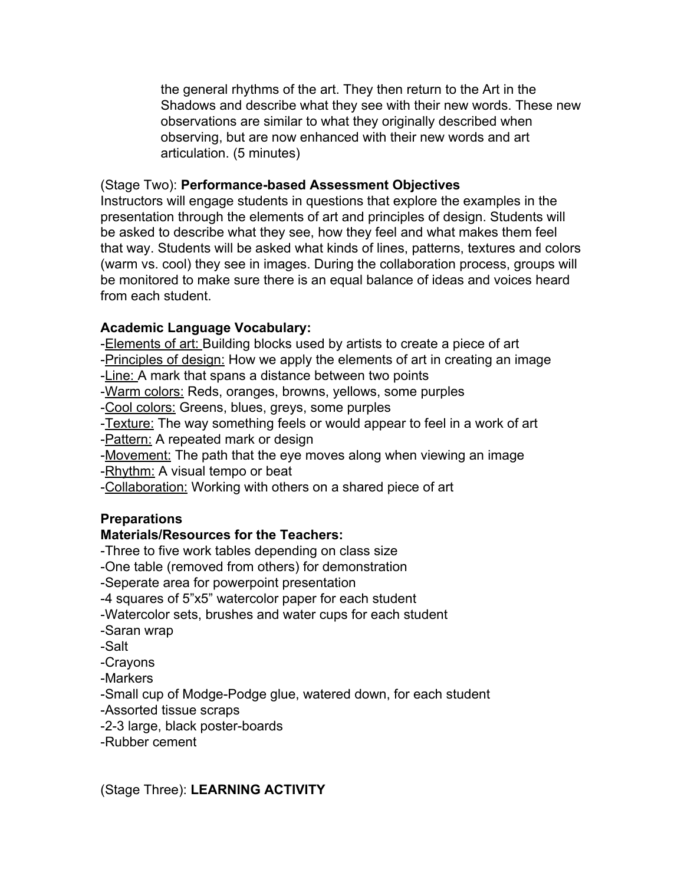the general rhythms of the art. They then return to the Art in the Shadows and describe what they see with their new words. These new observations are similar to what they originally described when observing, but are now enhanced with their new words and art articulation. (5 minutes)

#### (Stage Two): **Performancebased Assessment Objectives**

Instructors will engage students in questions that explore the examples in the presentation through the elements of art and principles of design. Students will be asked to describe what they see, how they feel and what makes them feel that way. Students will be asked what kinds of lines, patterns, textures and colors (warm vs. cool) they see in images. During the collaboration process, groups will be monitored to make sure there is an equal balance of ideas and voices heard from each student.

# **Academic Language Vocabulary:**

-Elements of art: Building blocks used by artists to create a piece of art Principles of design: How we apply the elements of art in creating an image Line: A mark that spans a distance between two points -Warm colors: Reds, oranges, browns, yellows, some purples -Cool colors: Greens, blues, greys, some purples -Texture: The way something feels or would appear to feel in a work of art Pattern: A repeated mark or design Movement: The path that the eye moves along when viewing an image -Rhythm: A visual tempo or beat Collaboration: Working with others on a shared piece of art

# **Preparations**

# **Materials/Resources for the Teachers:**

Three to five work tables depending on class size One table (removed from others) for demonstration

Seperate area for powerpoint presentation

4 squares of 5"x5" watercolor paper for each student

Watercolor sets, brushes and water cups for each student

- Saran wrap
- -Salt

Crayons

Markers

-Small cup of Modge-Podge glue, watered down, for each student

Assorted tissue scraps

-2-3 large, black poster-boards

Rubber cement

(Stage Three): **LEARNING ACTIVITY**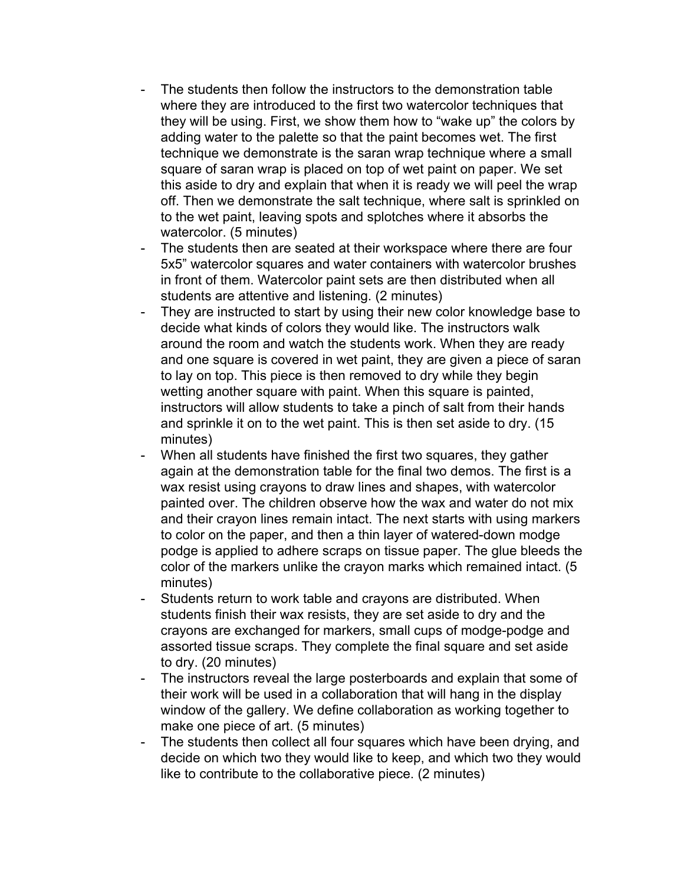- The students then follow the instructors to the demonstration table where they are introduced to the first two watercolor techniques that they will be using. First, we show them how to "wake up" the colors by adding water to the palette so that the paint becomes wet. The first technique we demonstrate is the saran wrap technique where a small square of saran wrap is placed on top of wet paint on paper. We set this aside to dry and explain that when it is ready we will peel the wrap off. Then we demonstrate the salt technique, where salt is sprinkled on to the wet paint, leaving spots and splotches where it absorbs the watercolor. (5 minutes)
- The students then are seated at their workspace where there are four 5x5" watercolor squares and water containers with watercolor brushes in front of them. Watercolor paint sets are then distributed when all students are attentive and listening. (2 minutes)
- They are instructed to start by using their new color knowledge base to decide what kinds of colors they would like. The instructors walk around the room and watch the students work. When they are ready and one square is covered in wet paint, they are given a piece of saran to lay on top. This piece is then removed to dry while they begin wetting another square with paint. When this square is painted, instructors will allow students to take a pinch of salt from their hands and sprinkle it on to the wet paint. This is then set aside to dry. (15 minutes)
- When all students have finished the first two squares, they gather again at the demonstration table for the final two demos. The first is a wax resist using crayons to draw lines and shapes, with watercolor painted over. The children observe how the wax and water do not mix and their crayon lines remain intact. The next starts with using markers to color on the paper, and then a thin layer of watered-down modge podge is applied to adhere scraps on tissue paper. The glue bleeds the color of the markers unlike the crayon marks which remained intact. (5 minutes)
- Students return to work table and crayons are distributed. When students finish their wax resists, they are set aside to dry and the crayons are exchanged for markers, small cups of modge-podge and assorted tissue scraps. They complete the final square and set aside to dry. (20 minutes)
- The instructors reveal the large posterboards and explain that some of their work will be used in a collaboration that will hang in the display window of the gallery. We define collaboration as working together to make one piece of art. (5 minutes)
- The students then collect all four squares which have been drying, and decide on which two they would like to keep, and which two they would like to contribute to the collaborative piece. (2 minutes)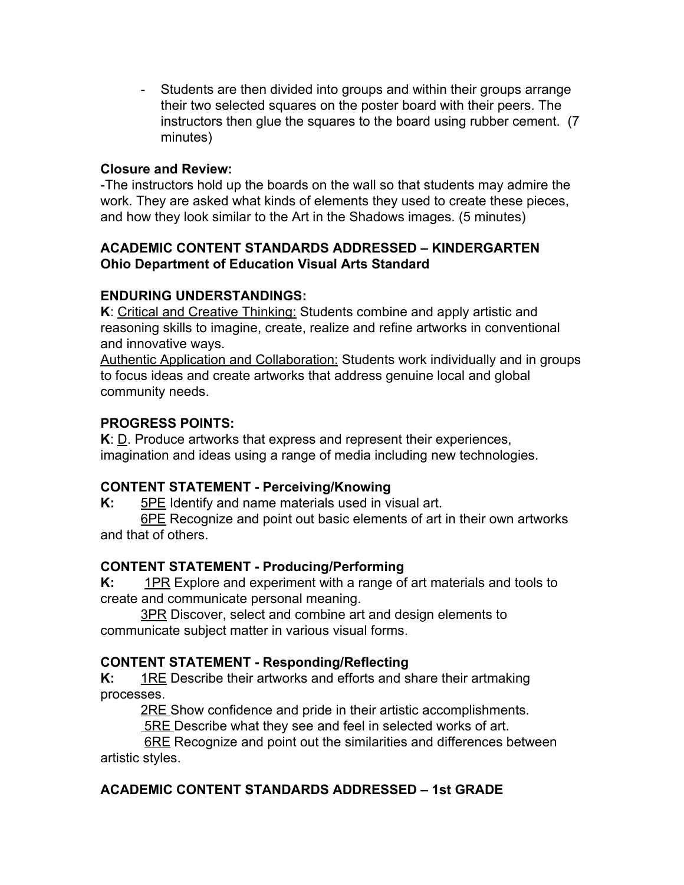- Students are then divided into groups and within their groups arrange their two selected squares on the poster board with their peers. The instructors then glue the squares to the board using rubber cement. (7 minutes)

#### **Closure and Review:**

The instructors hold up the boards on the wall so that students may admire the work. They are asked what kinds of elements they used to create these pieces, and how they look similar to the Art in the Shadows images. (5 minutes)

#### **ACADEMIC CONTENT STANDARDS ADDRESSED – KINDERGARTEN Ohio Department of Education Visual Arts Standard**

#### **ENDURING UNDERSTANDINGS:**

**K**: Critical and Creative Thinking: Students combine and apply artistic and reasoning skills to imagine, create, realize and refine artworks in conventional and innovative ways.

Authentic Application and Collaboration: Students work individually and in groups to focus ideas and create artworks that address genuine local and global community needs.

#### **PROGRESS POINTS:**

**K**: D. Produce artworks that express and represent their experiences, imagination and ideas using a range of media including new technologies.

# **CONTENT STATEMENT Perceiving/Knowing**

**K:** 5PE Identify and name materials used in visual art.

6PE Recognize and point out basic elements of art in their own artworks and that of others.

# **CONTENT STATEMENT Producing/Performing**

**K:** 1PR Explore and experiment with a range of art materials and tools to create and communicate personal meaning.

3PR Discover, select and combine art and design elements to communicate subject matter in various visual forms.

# **CONTENT STATEMENT Responding/Reflecting**

**K:** 1RE Describe their artworks and efforts and share their artmaking processes.

**2RE Show confidence and pride in their artistic accomplishments.** 

5RE Describe what they see and feel in selected works of art.

**6RE** Recognize and point out the similarities and differences between artistic styles.

# **ACADEMIC CONTENT STANDARDS ADDRESSED – 1st GRADE**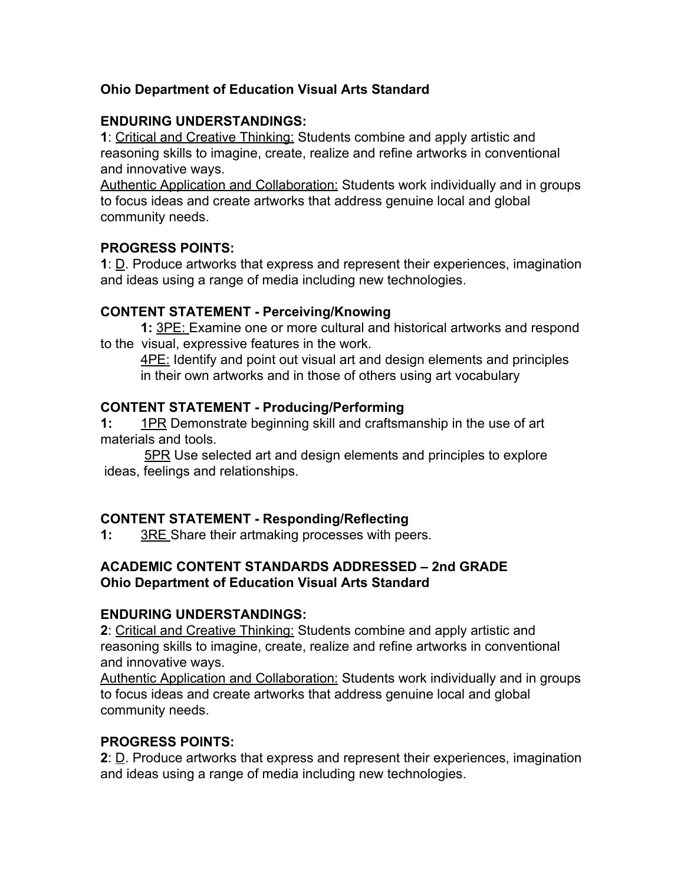# **Ohio Department of Education Visual Arts Standard**

#### **ENDURING UNDERSTANDINGS:**

**1**: Critical and Creative Thinking: Students combine and apply artistic and reasoning skills to imagine, create, realize and refine artworks in conventional and innovative ways.

Authentic Application and Collaboration: Students work individually and in groups to focus ideas and create artworks that address genuine local and global community needs.

# **PROGRESS POINTS:**

**1**: D. Produce artworks that express and represent their experiences, imagination and ideas using a range of media including new technologies.

#### **CONTENT STATEMENT Perceiving/Knowing**

**1:** 3PE: Examine one or more cultural and historical artworks and respond to the visual, expressive features in the work.

**4PE:** Identify and point out visual art and design elements and principles in their own artworks and in those of others using art vocabulary

#### **CONTENT STATEMENT Producing/Performing**

**1:** 1PR Demonstrate beginning skill and craftsmanship in the use of art materials and tools.

5PR Use selected art and design elements and principles to explore ideas, feelings and relationships.

# **CONTENT STATEMENT Responding/Reflecting**

**1:** 3RE Share their artmaking processes with peers.

#### **ACADEMIC CONTENT STANDARDS ADDRESSED – 2nd GRADE Ohio Department of Education Visual Arts Standard**

# **ENDURING UNDERSTANDINGS:**

**2**: Critical and Creative Thinking: Students combine and apply artistic and reasoning skills to imagine, create, realize and refine artworks in conventional and innovative ways.

Authentic Application and Collaboration: Students work individually and in groups to focus ideas and create artworks that address genuine local and global community needs.

# **PROGRESS POINTS:**

**2**: D. Produce artworks that express and represent their experiences, imagination and ideas using a range of media including new technologies.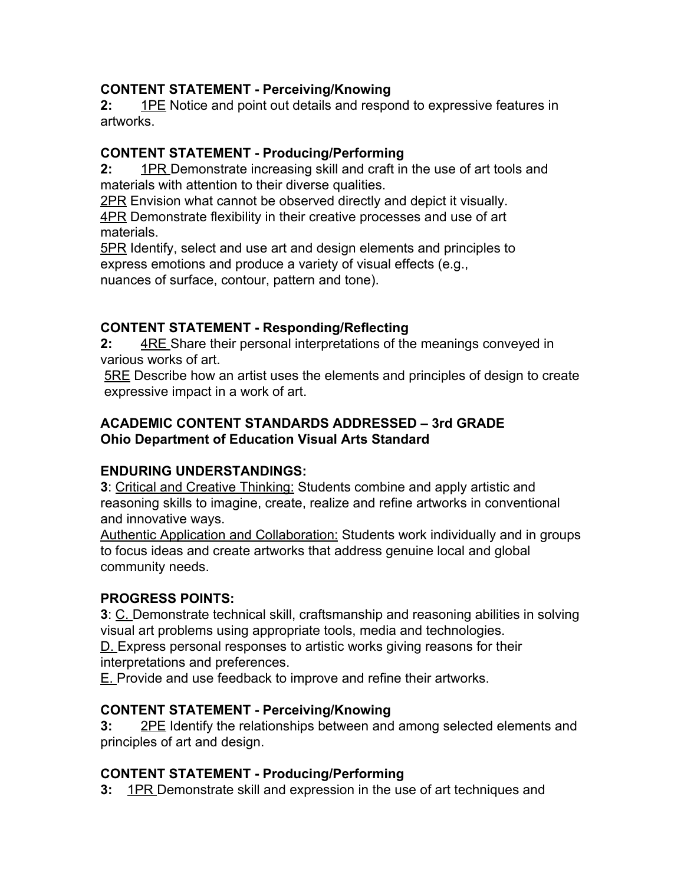# **CONTENT STATEMENT Perceiving/Knowing**

**2:** 1PE Notice and point out details and respond to expressive features in artworks.

# **CONTENT STATEMENT Producing/Performing**

**2:** 1PR Demonstrate increasing skill and craft in the use of art tools and materials with attention to their diverse qualities.

2PR Envision what cannot be observed directly and depict it visually.

4PR Demonstrate flexibility in their creative processes and use of art materials.

5PR Identify, select and use art and design elements and principles to express emotions and produce a variety of visual effects (e.g., nuances of surface, contour, pattern and tone).

# **CONTENT STATEMENT Responding/Reflecting**

**2:** 4RE Share their personal interpretations of the meanings conveyed in various works of art.

5RE Describe how an artist uses the elements and principles of design to create expressive impact in a work of art.

# **ACADEMIC CONTENT STANDARDS ADDRESSED – 3rd GRADE Ohio Department of Education Visual Arts Standard**

# **ENDURING UNDERSTANDINGS:**

**3**: Critical and Creative Thinking: Students combine and apply artistic and reasoning skills to imagine, create, realize and refine artworks in conventional and innovative ways.

Authentic Application and Collaboration: Students work individually and in groups to focus ideas and create artworks that address genuine local and global community needs.

# **PROGRESS POINTS:**

**3**: C. Demonstrate technical skill, craftsmanship and reasoning abilities in solving visual art problems using appropriate tools, media and technologies.

D. Express personal responses to artistic works giving reasons for their interpretations and preferences.

E. Provide and use feedback to improve and refine their artworks.

# **CONTENT STATEMENT Perceiving/Knowing**

**3:** 2PE Identify the relationships between and among selected elements and principles of art and design.

# **CONTENT STATEMENT Producing/Performing**

**3:** 1PR Demonstrate skill and expression in the use of art techniques and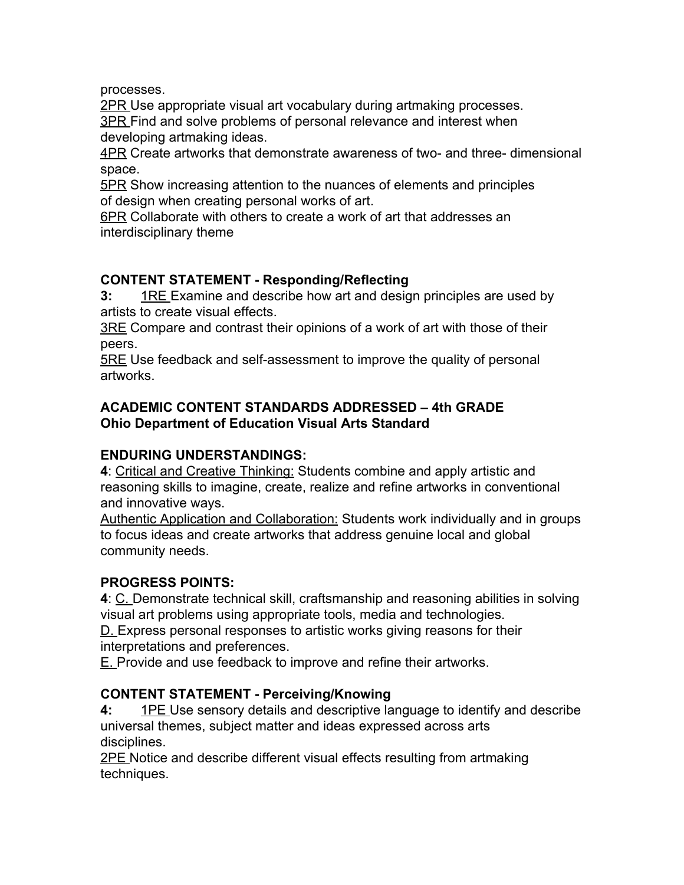processes.

2PR Use appropriate visual art vocabulary during artmaking processes. 3PR Find and solve problems of personal relevance and interest when developing artmaking ideas.

4PR Create artworks that demonstrate awareness of two- and three- dimensional space.

5PR Show increasing attention to the nuances of elements and principles of design when creating personal works of art.

6PR Collaborate with others to create a work of art that addresses an interdisciplinary theme

# **CONTENT STATEMENT Responding/Reflecting**

**3:** 1RE Examine and describe how art and design principles are used by artists to create visual effects.

3RE Compare and contrast their opinions of a work of art with those of their peers.

5RE Use feedback and self-assessment to improve the quality of personal artworks.

# **ACADEMIC CONTENT STANDARDS ADDRESSED – 4th GRADE Ohio Department of Education Visual Arts Standard**

# **ENDURING UNDERSTANDINGS:**

**4**: Critical and Creative Thinking: Students combine and apply artistic and reasoning skills to imagine, create, realize and refine artworks in conventional and innovative ways.

Authentic Application and Collaboration: Students work individually and in groups to focus ideas and create artworks that address genuine local and global community needs.

# **PROGRESS POINTS:**

**4**: C. Demonstrate technical skill, craftsmanship and reasoning abilities in solving visual art problems using appropriate tools, media and technologies.

D. Express personal responses to artistic works giving reasons for their interpretations and preferences.

E. Provide and use feedback to improve and refine their artworks.

# **CONTENT STATEMENT Perceiving/Knowing**

**4:** 1PE Use sensory details and descriptive language to identify and describe universal themes, subject matter and ideas expressed across arts disciplines.

2PE Notice and describe different visual effects resulting from artmaking techniques.